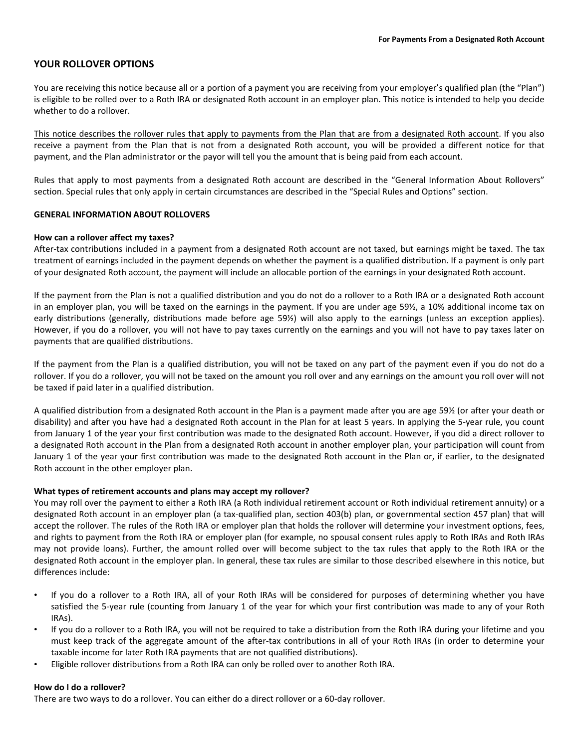# **YOUR ROLLOVER OPTIONS**

You are receiving this notice because all or a portion of a payment you are receiving from your employer's qualified plan (the "Plan") is eligible to be rolled over to a Roth IRA or designated Roth account in an employer plan. This notice is intended to help you decide whether to do a rollover.

This notice describes the rollover rules that apply to payments from the Plan that are from a designated Roth account. If you also receive a payment from the Plan that is not from a designated Roth account, you will be provided a different notice for that payment, and the Plan administrator or the payor will tell you the amount that is being paid from each account.

Rules that apply to most payments from a designated Roth account are described in the "General Information About Rollovers" section. Special rules that only apply in certain circumstances are described in the "Special Rules and Options" section.

### **GENERAL INFORMATION ABOUT ROLLOVERS**

#### **How can a rollover affect my taxes?**

After-tax contributions included in a payment from a designated Roth account are not taxed, but earnings might be taxed. The tax treatment of earnings included in the payment depends on whether the payment is a qualified distribution. If a payment is only part of your designated Roth account, the payment will include an allocable portion of the earnings in your designated Roth account.

If the payment from the Plan is not a qualified distribution and you do not do a rollover to a Roth IRA or a designated Roth account in an employer plan, you will be taxed on the earnings in the payment. If you are under age 59½, a 10% additional income tax on early distributions (generally, distributions made before age 59%) will also apply to the earnings (unless an exception applies). However, if you do a rollover, you will not have to pay taxes currently on the earnings and you will not have to pay taxes later on payments that are qualified distributions.

If the payment from the Plan is a qualified distribution, you will not be taxed on any part of the payment even if you do not do a rollover. If you do a rollover, you will not be taxed on the amount you roll over and any earnings on the amount you roll over will not be taxed if paid later in a qualified distribution.

A qualified distribution from a designated Roth account in the Plan is a payment made after you are age 59½ (or after your death or disability) and after you have had a designated Roth account in the Plan for at least 5 years. In applying the 5‐year rule, you count from January 1 of the year your first contribution was made to the designated Roth account. However, if you did a direct rollover to a designated Roth account in the Plan from a designated Roth account in another employer plan, your participation will count from January 1 of the year your first contribution was made to the designated Roth account in the Plan or, if earlier, to the designated Roth account in the other employer plan.

### **What types of retirement accounts and plans may accept my rollover?**

You may roll over the payment to either a Roth IRA (a Roth individual retirement account or Roth individual retirement annuity) or a designated Roth account in an employer plan (a tax‐qualified plan, section 403(b) plan, or governmental section 457 plan) that will accept the rollover. The rules of the Roth IRA or employer plan that holds the rollover will determine your investment options, fees, and rights to payment from the Roth IRA or employer plan (for example, no spousal consent rules apply to Roth IRAs and Roth IRAs may not provide loans). Further, the amount rolled over will become subject to the tax rules that apply to the Roth IRA or the designated Roth account in the employer plan. In general, these tax rules are similar to those described elsewhere in this notice, but differences include:

- If you do a rollover to a Roth IRA, all of your Roth IRAs will be considered for purposes of determining whether you have satisfied the 5-year rule (counting from January 1 of the year for which your first contribution was made to any of your Roth IRAs).
- If you do a rollover to a Roth IRA, you will not be required to take a distribution from the Roth IRA during your lifetime and you must keep track of the aggregate amount of the after-tax contributions in all of your Roth IRAs (in order to determine your taxable income for later Roth IRA payments that are not qualified distributions).
- Eligible rollover distributions from a Roth IRA can only be rolled over to another Roth IRA.

### **How do I do a rollover?**

There are two ways to do a rollover. You can either do a direct rollover or a 60-day rollover.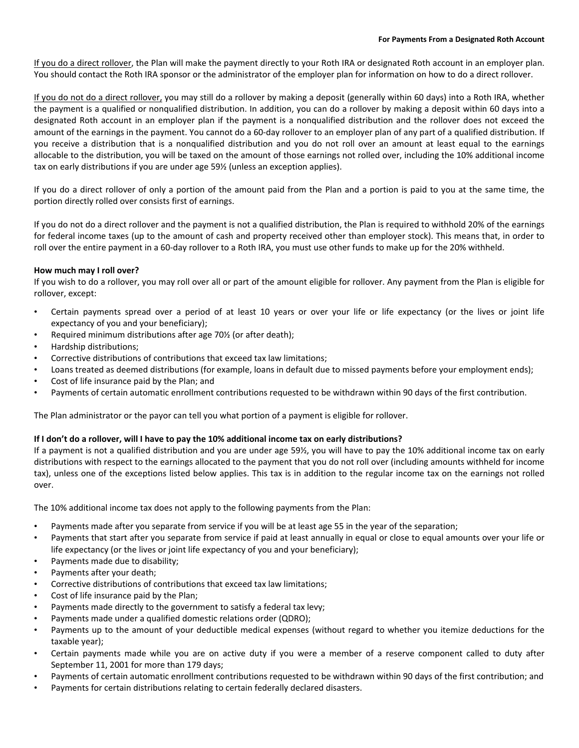If you do a direct rollover, the Plan will make the payment directly to your Roth IRA or designated Roth account in an employer plan. You should contact the Roth IRA sponsor or the administrator of the employer plan for information on how to do a direct rollover.

If you do not do a direct rollover, you may still do a rollover by making a deposit (generally within 60 days) into a Roth IRA, whether the payment is a qualified or nonqualified distribution. In addition, you can do a rollover by making a deposit within 60 days into a designated Roth account in an employer plan if the payment is a nonqualified distribution and the rollover does not exceed the amount of the earnings in the payment. You cannot do a 60‐day rollover to an employer plan of any part of a qualified distribution. If you receive a distribution that is a nonqualified distribution and you do not roll over an amount at least equal to the earnings allocable to the distribution, you will be taxed on the amount of those earnings not rolled over, including the 10% additional income tax on early distributions if you are under age 59½ (unless an exception applies).

If you do a direct rollover of only a portion of the amount paid from the Plan and a portion is paid to you at the same time, the portion directly rolled over consists first of earnings.

If you do not do a direct rollover and the payment is not a qualified distribution, the Plan is required to withhold 20% of the earnings for federal income taxes (up to the amount of cash and property received other than employer stock). This means that, in order to roll over the entire payment in a 60‐day rollover to a Roth IRA, you must use other funds to make up for the 20% withheld.

# **How much may I roll over?**

If you wish to do a rollover, you may roll over all or part of the amount eligible for rollover. Any payment from the Plan is eligible for rollover, except:

- Certain payments spread over a period of at least 10 years or over your life or life expectancy (or the lives or joint life expectancy of you and your beneficiary);
- Required minimum distributions after age 70% (or after death);
- Hardship distributions;
- Corrective distributions of contributions that exceed tax law limitations;
- Loans treated as deemed distributions (for example, loans in default due to missed payments before your employment ends);
- Cost of life insurance paid by the Plan; and
- Payments of certain automatic enrollment contributions requested to be withdrawn within 90 days of the first contribution.

The Plan administrator or the payor can tell you what portion of a payment is eligible for rollover.

## **If I don't do a rollover, will I have to pay the 10% additional income tax on early distributions?**

If a payment is not a qualified distribution and you are under age 59½, you will have to pay the 10% additional income tax on early distributions with respect to the earnings allocated to the payment that you do not roll over (including amounts withheld for income tax), unless one of the exceptions listed below applies. This tax is in addition to the regular income tax on the earnings not rolled over.

The 10% additional income tax does not apply to the following payments from the Plan:

- Payments made after you separate from service if you will be at least age 55 in the year of the separation;
- Payments that start after you separate from service if paid at least annually in equal or close to equal amounts over your life or life expectancy (or the lives or joint life expectancy of you and your beneficiary);
- Payments made due to disability;
- Payments after your death;
- Corrective distributions of contributions that exceed tax law limitations;
- Cost of life insurance paid by the Plan;
- Payments made directly to the government to satisfy a federal tax levy;
- Payments made under a qualified domestic relations order (QDRO);
- Payments up to the amount of your deductible medical expenses (without regard to whether you itemize deductions for the taxable year);
- Certain payments made while you are on active duty if you were a member of a reserve component called to duty after September 11, 2001 for more than 179 days;
- Payments of certain automatic enrollment contributions requested to be withdrawn within 90 days of the first contribution; and
- Payments for certain distributions relating to certain federally declared disasters.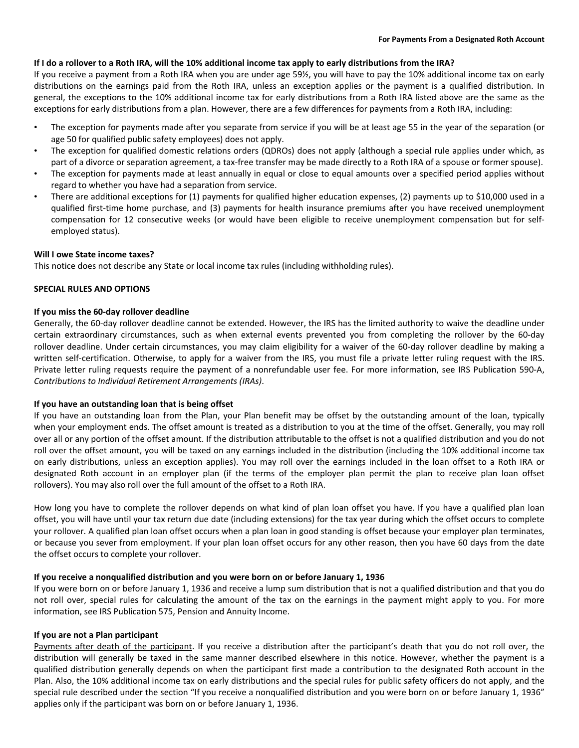## **If I do a rollover to a Roth IRA, will the 10% additional income tax apply to early distributions from the IRA?**

If you receive a payment from a Roth IRA when you are under age 59½, you will have to pay the 10% additional income tax on early distributions on the earnings paid from the Roth IRA, unless an exception applies or the payment is a qualified distribution. In general, the exceptions to the 10% additional income tax for early distributions from a Roth IRA listed above are the same as the exceptions for early distributions from a plan. However, there are a few differences for payments from a Roth IRA, including:

- The exception for payments made after you separate from service if you will be at least age 55 in the year of the separation (or age 50 for qualified public safety employees) does not apply.
- The exception for qualified domestic relations orders (QDROs) does not apply (although a special rule applies under which, as part of a divorce or separation agreement, a tax-free transfer may be made directly to a Roth IRA of a spouse or former spouse).
- The exception for payments made at least annually in equal or close to equal amounts over a specified period applies without regard to whether you have had a separation from service.
- There are additional exceptions for (1) payments for qualified higher education expenses, (2) payments up to \$10,000 used in a qualified first-time home purchase, and (3) payments for health insurance premiums after you have received unemployment compensation for 12 consecutive weeks (or would have been eligible to receive unemployment compensation but for selfemployed status).

### **Will I owe State income taxes?**

This notice does not describe any State or local income tax rules (including withholding rules).

### **SPECIAL RULES AND OPTIONS**

### **If you miss the 60‐day rollover deadline**

Generally, the 60‐day rollover deadline cannot be extended. However, the IRS has the limited authority to waive the deadline under certain extraordinary circumstances, such as when external events prevented you from completing the rollover by the 60‐day rollover deadline. Under certain circumstances, you may claim eligibility for a waiver of the 60‐day rollover deadline by making a written self-certification. Otherwise, to apply for a waiver from the IRS, you must file a private letter ruling request with the IRS. Private letter ruling requests require the payment of a nonrefundable user fee. For more information, see IRS Publication 590-A, *Contributions to Individual Retirement Arrangements (IRAs)*.

### **If you have an outstanding loan that is being offset**

If you have an outstanding loan from the Plan, your Plan benefit may be offset by the outstanding amount of the loan, typically when your employment ends. The offset amount is treated as a distribution to you at the time of the offset. Generally, you may roll over all or any portion of the offset amount. If the distribution attributable to the offset is not a qualified distribution and you do not roll over the offset amount, you will be taxed on any earnings included in the distribution (including the 10% additional income tax on early distributions, unless an exception applies). You may roll over the earnings included in the loan offset to a Roth IRA or designated Roth account in an employer plan (if the terms of the employer plan permit the plan to receive plan loan offset rollovers). You may also roll over the full amount of the offset to a Roth IRA.

How long you have to complete the rollover depends on what kind of plan loan offset you have. If you have a qualified plan loan offset, you will have until your tax return due date (including extensions) for the tax year during which the offset occurs to complete your rollover. A qualified plan loan offset occurs when a plan loan in good standing is offset because your employer plan terminates, or because you sever from employment. If your plan loan offset occurs for any other reason, then you have 60 days from the date the offset occurs to complete your rollover.

### **If you receive a nonqualified distribution and you were born on or before January 1, 1936**

If you were born on or before January 1, 1936 and receive a lump sum distribution that is not a qualified distribution and that you do not roll over, special rules for calculating the amount of the tax on the earnings in the payment might apply to you. For more information, see IRS Publication 575, Pension and Annuity Income.

### **If you are not a Plan participant**

Payments after death of the participant. If you receive a distribution after the participant's death that you do not roll over, the distribution will generally be taxed in the same manner described elsewhere in this notice. However, whether the payment is a qualified distribution generally depends on when the participant first made a contribution to the designated Roth account in the Plan. Also, the 10% additional income tax on early distributions and the special rules for public safety officers do not apply, and the special rule described under the section "If you receive a nonqualified distribution and you were born on or before January 1, 1936" applies only if the participant was born on or before January 1, 1936.